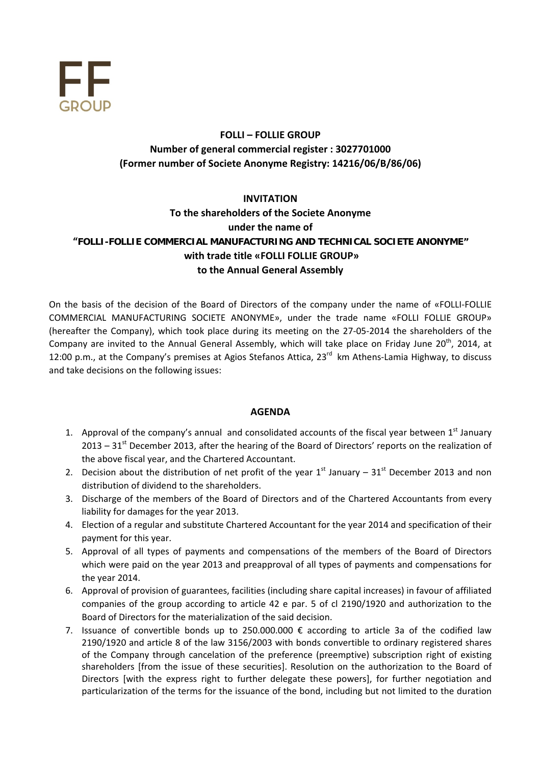

# **FOLLI – FOLLIE GROUP Νumber of general commercial register : 3027701000 (Former number οf Societe Anonyme Registry: 14216/06/B/86/06)**

# **INVITATION To the shareholders of the Societe Anonyme under the name of "FOLLI-FOLLIE COMMERCIAL MANUFACTURING AND TECHNICAL SOCIETE ANONYME" with trade title «FOLLI FOLLIE GROUP» to the Annual General Assembly**

On the basis of the decision of the Board of Directors of the company under the name of «FOLLI-FOLLIE COMMERCIAL MANUFACTURING SOCIETE ANONYME», under the trade name «FOLLI FOLLIE GROUP» (hereafter the Company), which took place during its meeting on the 27‐05‐2014 the shareholders of the Company are invited to the Annual General Assembly, which will take place on Friday June  $20<sup>th</sup>$ , 2014, at 12:00 p.m., at the Company's premises at Agios Stefanos Attica, 23<sup>rd</sup> km Athens-Lamia Highway, to discuss and take decisions on the following issues:

## **AGENDA**

- 1. Approval of the company's annual and consolidated accounts of the fiscal year between  $1<sup>st</sup>$  January  $2013 - 31$ <sup>st</sup> December 2013, after the hearing of the Board of Directors' reports on the realization of the above fiscal year, and the Chartered Accountant.
- 2. Decision about the distribution of net profit of the year  $1<sup>st</sup>$  January 31<sup>st</sup> December 2013 and non distribution of dividend to the shareholders.
- 3. Discharge of the members of the Board of Directors and of the Chartered Accountants from every liability for damages for the year 2013.
- 4. Election of a regular and substitute Chartered Accountant for the year 2014 and specification of their payment for this year.
- 5. Approval οf all types of payments and compensations of the members of the Board of Directors which were paid on the year 2013 and preapproval of all types of payments and compensations for the year 2014.
- 6. Approval of provision of guarantees, facilities (including share capital increases) in favour of affiliated companies of the group according to article 42 e par. 5 of cl 2190/1920 and authorization to the Board of Directors for the materialization of the said decision.
- 7. Issuance of convertible bonds up to 250.000.000  $\epsilon$  according to article 3a of the codified law 2190/1920 and article 8 of the law 3156/2003 with bonds convertible to ordinary registered shares of the Company through cancelation of the preference (preemptive) subscription right of existing shareholders [from the issue of these securities]. Resolution on the authorization to the Board of Directors [with the express right to further delegate these powers], for further negotiation and particularization of the terms for the issuance of the bond, including but not limited to the duration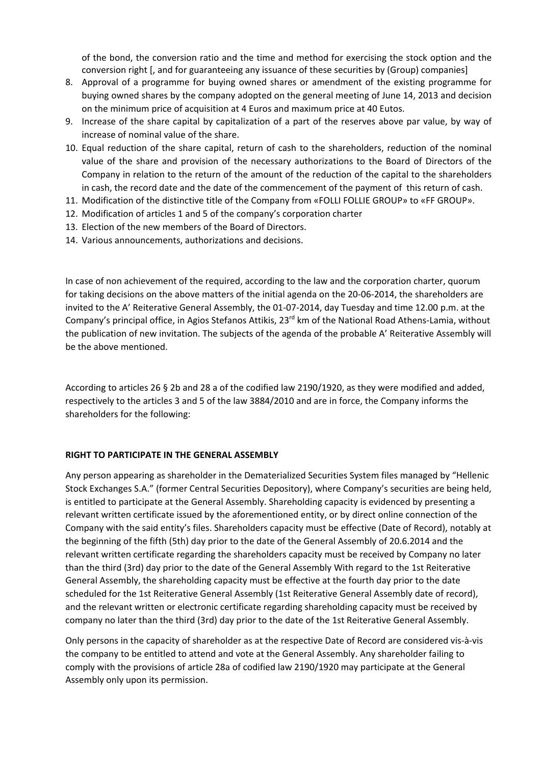of the bond, the conversion ratio and the time and method for exercising the stock option and the conversion right [, and for guaranteeing any issuance of these securities by (Group) companies]

- 8. Approval of a programme for buying owned shares or amendment of the existing programme for buying owned shares by the company adopted on the general meeting of June 14, 2013 and decision on the minimum price of acquisition at 4 Euros and maximum price at 40 Eutos.
- 9. Increase of the share capital by capitalization of a part of the reserves above par value, by way of increase of nominal value of the share.
- 10. Equal reduction of the share capital, return of cash to the shareholders, reduction of the nominal value of the share and provision of the necessary authorizations to the Board of Directors of the Company in relation to the return of the amount of the reduction οf the capital to the shareholders in cash, the record date and the date of the commencement of the payment of this return of cash.
- 11. Modification οf the distinctive title of the Company from «FOLLI FOLLIE GROUP» to «FF GROUP».
- 12. Modification of articles 1 and 5 οf the company's corporation charter
- 13. Election of the new members of the Board of Directors.
- 14. Various announcements, authorizations and decisions.

In case of non achievement οf the required, according to the law and the corporation charter, quorum for taking decisions on the above matters of the initial agenda on the 20-06-2014, the shareholders are invited to the A' Reiterative General Assembly, the 01‐07‐2014, day Tuesday and time 12.00 p.m. at the Company's principal office, in Agios Stefanos Attikis,  $23^{rd}$  km of the National Road Athens-Lamia, without the publication of new invitation. The subjects of the agenda of the probable A' Reiterative Assembly will be the above mentioned.

According to articles 26 § 2b and 28 a οf the codified law 2190/1920, as they were modified and added, respectively to the articles 3 and 5 of the law 3884/2010 and are in force, the Company informs the shareholders for the following:

#### **RIGHT TO PARTICIPATE IN THE GENERAL ASSEMBLY**

Any person appearing as shareholder in the Dematerialized Securities System files managed by "Hellenic Stock Exchanges S.A." (former Central Securities Depository), where Company's securities are being held, is entitled to participate at the General Assembly. Shareholding capacity is evidenced by presenting a relevant written certificate issued by the aforementioned entity, or by direct online connection of the Company with the said entity's files. Shareholders capacity must be effective (Date of Record), notably at the beginning of the fifth (5th) day prior to the date of the General Assembly of 20.6.2014 and the relevant written certificate regarding the shareholders capacity must be received by Company no later than the third (3rd) day prior to the date of the General Assembly With regard to the 1st Reiterative General Assembly, the shareholding capacity must be effective at the fourth day prior to the date scheduled for the 1st Reiterative General Assembly (1st Reiterative General Assembly date of record), and the relevant written or electronic certificate regarding shareholding capacity must be received by company no later than the third (3rd) day prior to the date of the 1st Reiterative General Assembly.

Only persons in the capacity of shareholder as at the respective Date of Record are considered vis‐à‐vis the company to be entitled to attend and vote at the General Assembly. Any shareholder failing to comply with the provisions of article 28a of codified law 2190/1920 may participate at the General Assembly only upon its permission.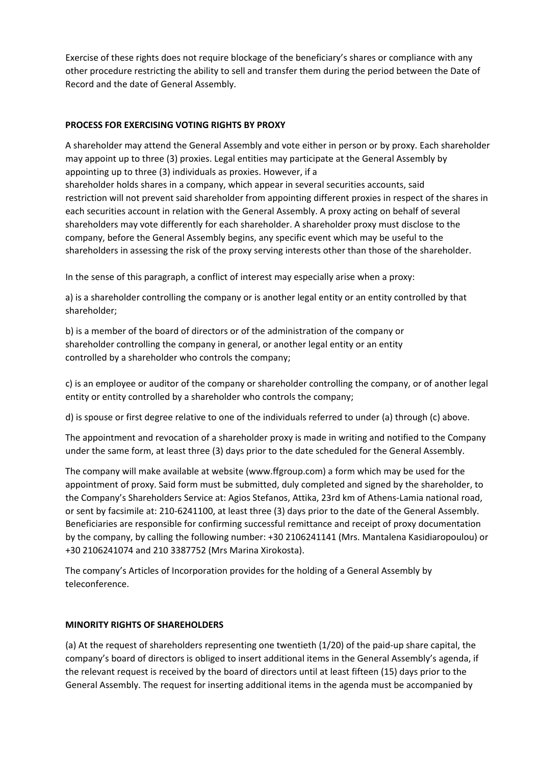Exercise of these rights does not require blockage of the beneficiary's shares or compliance with any other procedure restricting the ability to sell and transfer them during the period between the Date of Record and the date of General Assembly.

## **PROCESS FOR EXERCISING VOTING RIGHTS BY PROXY**

A shareholder may attend the General Assembly and vote either in person or by proxy. Each shareholder may appoint up to three (3) proxies. Legal entities may participate at the General Assembly by appointing up to three (3) individuals as proxies. However, if a shareholder holds shares in a company, which appear in several securities accounts, said restriction will not prevent said shareholder from appointing different proxies in respect of the shares in each securities account in relation with the General Assembly. A proxy acting on behalf of several shareholders may vote differently for each shareholder. A shareholder proxy must disclose to the company, before the General Assembly begins, any specific event which may be useful to the shareholders in assessing the risk of the proxy serving interests other than those of the shareholder.

In the sense of this paragraph, a conflict of interest may especially arise when a proxy:

a) is a shareholder controlling the company or is another legal entity or an entity controlled by that shareholder;

b) is a member of the board of directors or of the administration of the company or shareholder controlling the company in general, or another legal entity or an entity controlled by a shareholder who controls the company;

c) is an employee or auditor of the company or shareholder controlling the company, or of another legal entity or entity controlled by a shareholder who controls the company;

d) is spouse or first degree relative to one of the individuals referred to under (a) through (c) above.

The appointment and revocation of a shareholder proxy is made in writing and notified to the Company under the same form, at least three (3) days prior to the date scheduled for the General Assembly.

The company will make available at website (www.ffgroup.com) a form which may be used for the appointment of proxy. Said form must be submitted, duly completed and signed by the shareholder, to the Company's Shareholders Service at: Agios Stefanos, Attika, 23rd km of Athens‐Lamia national road, or sent by facsimile at: 210‐6241100, at least three (3) days prior to the date of the General Assembly. Beneficiaries are responsible for confirming successful remittance and receipt of proxy documentation by the company, by calling the following number: +30 2106241141 (Mrs. Mantalena Kasidiaropoulou) or +30 2106241074 and 210 3387752 (Mrs Marina Xirokosta).

The company's Articles of Incorporation provides for the holding of a General Assembly by teleconference.

#### **MINORITY RIGHTS OF SHAREHOLDERS**

(a) At the request of shareholders representing one twentieth (1/20) of the paid‐up share capital, the company's board of directors is obliged to insert additional items in the General Assembly's agenda, if the relevant request is received by the board of directors until at least fifteen (15) days prior to the General Assembly. The request for inserting additional items in the agenda must be accompanied by